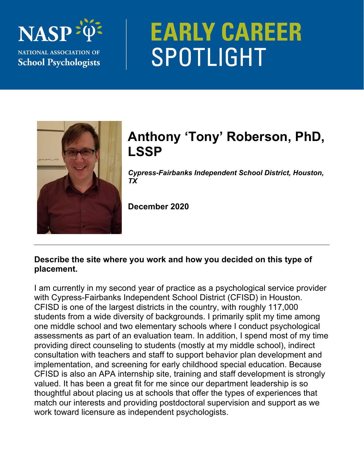

# **EARLY CAREER** SPOTLIGHT



# **Anthony 'Tony' Roberson, PhD, LSSP**

*Cypress-Fairbanks Independent School District, Houston, TX* 

**December 2020** 

### **Describe the site where you work and how you decided on this type of placement.**

I am currently in my second year of practice as a psychological service provider with Cypress-Fairbanks Independent School District (CFISD) in Houston. CFISD is one of the largest districts in the country, with roughly 117,000 students from a wide diversity of backgrounds. I primarily split my time among one middle school and two elementary schools where I conduct psychological assessments as part of an evaluation team. In addition, I spend most of my time providing direct counseling to students (mostly at my middle school), indirect consultation with teachers and staff to support behavior plan development and implementation, and screening for early childhood special education. Because CFISD is also an APA internship site, training and staff development is strongly valued. It has been a great fit for me since our department leadership is so thoughtful about placing us at schools that offer the types of experiences that match our interests and providing postdoctoral supervision and support as we work toward licensure as independent psychologists.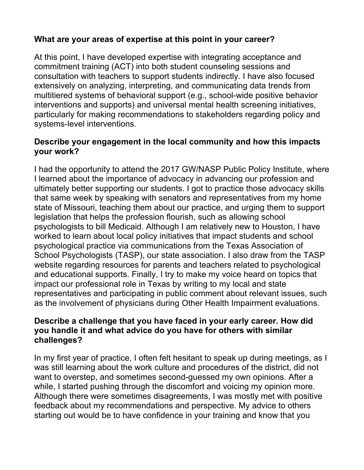# **What are your areas of expertise at this point in your career?**

At this point, I have developed expertise with integrating acceptance and commitment training (ACT) into both student counseling sessions and consultation with teachers to support students indirectly. I have also focused extensively on analyzing, interpreting, and communicating data trends from multitiered systems of behavioral support (e.g., school-wide positive behavior interventions and supports) and universal mental health screening initiatives, particularly for making recommendations to stakeholders regarding policy and systems-level interventions.

# **Describe your engagement in the local community and how this impacts your work?**

I had the opportunity to attend the 2017 GW/NASP Public Policy Institute, where I learned about the importance of advocacy in advancing our profession and ultimately better supporting our students. I got to practice those advocacy skills that same week by speaking with senators and representatives from my home state of Missouri, teaching them about our practice, and urging them to support legislation that helps the profession flourish, such as allowing school psychologists to bill Medicaid. Although I am relatively new to Houston, I have worked to learn about local policy initiatives that impact students and school psychological practice via communications from the Texas Association of School Psychologists (TASP), our state association. I also draw from the TASP website regarding resources for parents and teachers related to psychological and educational supports. Finally, I try to make my voice heard on topics that impact our professional role in Texas by writing to my local and state representatives and participating in public comment about relevant issues, such as the involvement of physicians during Other Health Impairment evaluations.

#### **Describe a challenge that you have faced in your early career. How did you handle it and what advice do you have for others with similar challenges?**

In my first year of practice, I often felt hesitant to speak up during meetings, as I was still learning about the work culture and procedures of the district, did not want to overstep, and sometimes second-guessed my own opinions. After a while, I started pushing through the discomfort and voicing my opinion more. Although there were sometimes disagreements, I was mostly met with positive feedback about my recommendations and perspective. My advice to others starting out would be to have confidence in your training and know that you